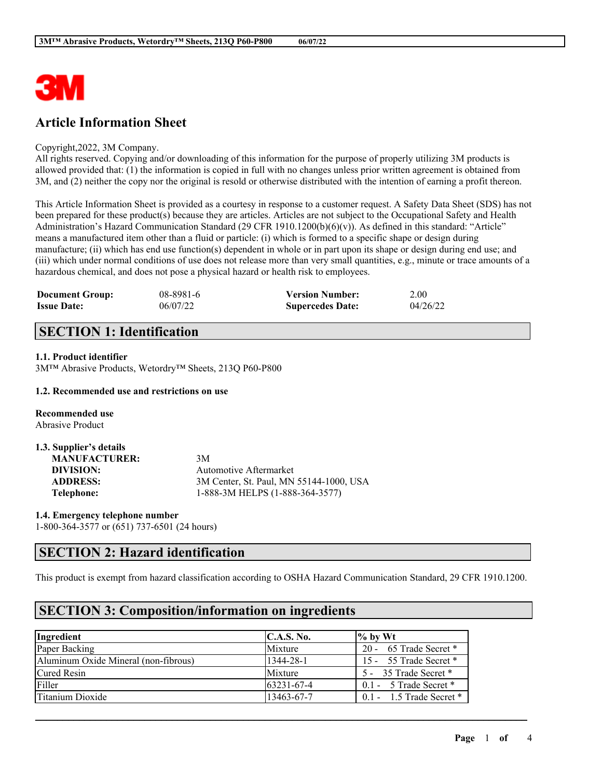

## **Article Information Sheet**

### Copyright,2022, 3M Company.

All rights reserved. Copying and/or downloading of this information for the purpose of properly utilizing 3M products is allowed provided that: (1) the information is copied in full with no changes unless prior written agreement is obtained from 3M, and (2) neither the copy nor the original is resold or otherwise distributed with the intention of earning a profit thereon.

This Article Information Sheet is provided as a courtesy in response to a customer request. A Safety Data Sheet (SDS) has not been prepared for these product(s) because they are articles. Articles are not subject to the Occupational Safety and Health Administration's Hazard Communication Standard (29 CFR 1910.1200(b)(6)(v)). As defined in this standard: "Article" means a manufactured item other than a fluid or particle: (i) which is formed to a specific shape or design during manufacture; (ii) which has end use function(s) dependent in whole or in part upon its shape or design during end use; and (iii) which under normal conditions of use does not release more than very small quantities, e.g., minute or trace amounts of a hazardous chemical, and does not pose a physical hazard or health risk to employees.

| <b>Document Group:</b> | 08-8981-6 | <b>Version Number:</b>  | 2.00     |
|------------------------|-----------|-------------------------|----------|
| <b>Issue Date:</b>     | 06/07/22  | <b>Supercedes Date:</b> | 04/26/22 |

## **SECTION 1: Identification**

### **1.1. Product identifier**

3M™ Abrasive Products, Wetordry™ Sheets, 213Q P60-P800

### **1.2. Recommended use and restrictions on use**

**Recommended use** Abrasive Product

| 1.3. Supplier's details |                                         |
|-------------------------|-----------------------------------------|
| <b>MANUFACTURER:</b>    | 3M                                      |
| DIVISION:               | Automotive Aftermarket                  |
| <b>ADDRESS:</b>         | 3M Center, St. Paul, MN 55144-1000, USA |
| Telephone:              | 1-888-3M HELPS (1-888-364-3577)         |

**1.4. Emergency telephone number** 1-800-364-3577 or (651) 737-6501 (24 hours)

## **SECTION 2: Hazard identification**

This product is exempt from hazard classification according to OSHA Hazard Communication Standard, 29 CFR 1910.1200.

 $\mathcal{L}_\mathcal{L} = \mathcal{L}_\mathcal{L} = \mathcal{L}_\mathcal{L} = \mathcal{L}_\mathcal{L} = \mathcal{L}_\mathcal{L} = \mathcal{L}_\mathcal{L} = \mathcal{L}_\mathcal{L} = \mathcal{L}_\mathcal{L} = \mathcal{L}_\mathcal{L} = \mathcal{L}_\mathcal{L} = \mathcal{L}_\mathcal{L} = \mathcal{L}_\mathcal{L} = \mathcal{L}_\mathcal{L} = \mathcal{L}_\mathcal{L} = \mathcal{L}_\mathcal{L} = \mathcal{L}_\mathcal{L} = \mathcal{L}_\mathcal{L}$ 

## **SECTION 3: Composition/information on ingredients**

| Ingredient                           | C.A.S. No.        | $\frac{1}{2}$ by Wt        |
|--------------------------------------|-------------------|----------------------------|
| Paper Backing                        | Mixture           | 20 - 65 Trade Secret *     |
| Aluminum Oxide Mineral (non-fibrous) | 1344-28-1         | 15 - 55 Trade Secret *     |
| Cured Resin                          | Mixture           | 5 - 35 Trade Secret *      |
| Filler                               | $163231 - 67 - 4$ | $0.1 - 5$ Trade Secret *   |
| Titanium Dioxide                     | 13463-67-7        | $0.1 - 1.5$ Trade Secret * |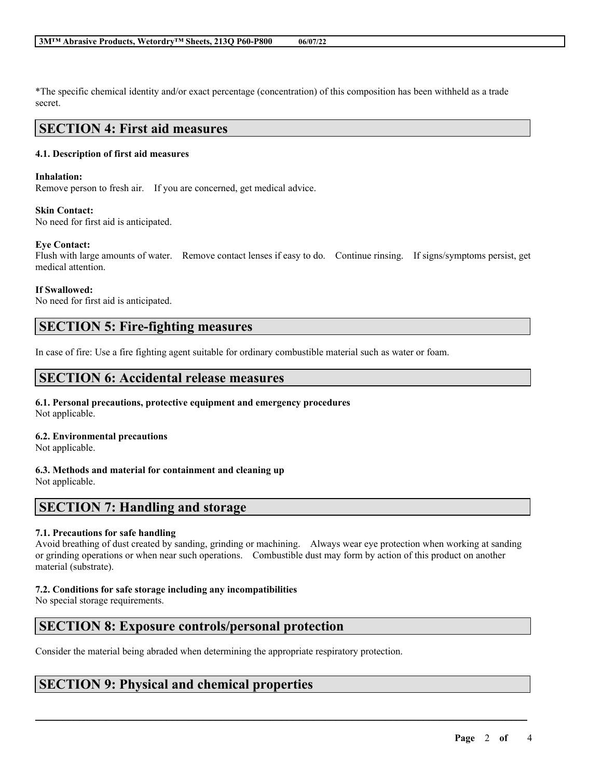\*The specific chemical identity and/or exact percentage (concentration) of this composition has been withheld as a trade secret.

### **SECTION 4: First aid measures**

### **4.1. Description of first aid measures**

### **Inhalation:**

Remove person to fresh air. If you are concerned, get medical advice.

### **Skin Contact:**

No need for first aid is anticipated.

### **Eye Contact:**

Flush with large amounts of water. Remove contact lenses if easy to do. Continue rinsing. If signs/symptoms persist, get medical attention.

### **If Swallowed:**

No need for first aid is anticipated.

## **SECTION 5: Fire-fighting measures**

In case of fire: Use a fire fighting agent suitable for ordinary combustible material such as water or foam.

## **SECTION 6: Accidental release measures**

# **6.1. Personal precautions, protective equipment and emergency procedures**

Not applicable.

### **6.2. Environmental precautions**

Not applicable.

### **6.3. Methods and material for containment and cleaning up**

Not applicable.

## **SECTION 7: Handling and storage**

### **7.1. Precautions for safe handling**

Avoid breathing of dust created by sanding, grinding or machining. Always wear eye protection when working at sanding or grinding operations or when near such operations. Combustible dust may form by action of this product on another material (substrate).

 $\mathcal{L}_\mathcal{L} = \mathcal{L}_\mathcal{L} = \mathcal{L}_\mathcal{L} = \mathcal{L}_\mathcal{L} = \mathcal{L}_\mathcal{L} = \mathcal{L}_\mathcal{L} = \mathcal{L}_\mathcal{L} = \mathcal{L}_\mathcal{L} = \mathcal{L}_\mathcal{L} = \mathcal{L}_\mathcal{L} = \mathcal{L}_\mathcal{L} = \mathcal{L}_\mathcal{L} = \mathcal{L}_\mathcal{L} = \mathcal{L}_\mathcal{L} = \mathcal{L}_\mathcal{L} = \mathcal{L}_\mathcal{L} = \mathcal{L}_\mathcal{L}$ 

### **7.2. Conditions for safe storage including any incompatibilities**

No special storage requirements.

## **SECTION 8: Exposure controls/personal protection**

Consider the material being abraded when determining the appropriate respiratory protection.

## **SECTION 9: Physical and chemical properties**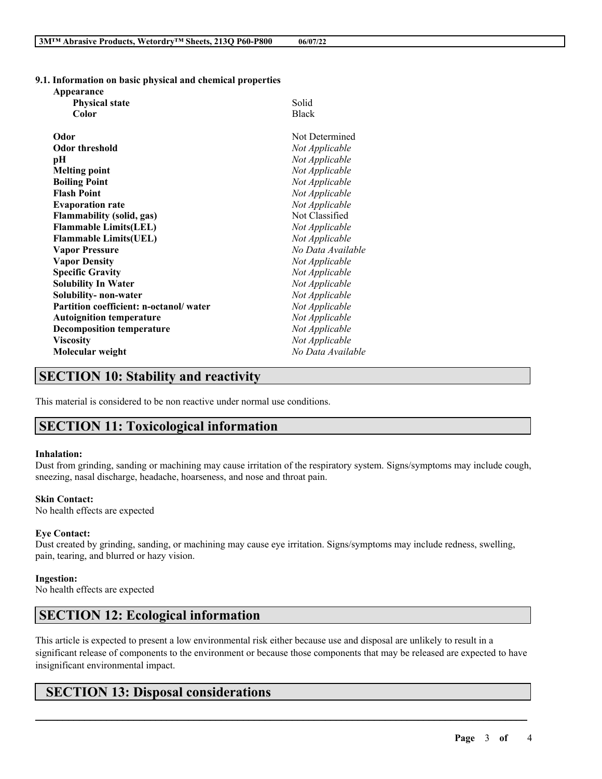**9.1. Information on basic physical and chemical properties**

| Appearance                             |                   |
|----------------------------------------|-------------------|
| <b>Physical state</b>                  | Solid             |
| Color                                  | <b>Black</b>      |
| Odor                                   | Not Determined    |
| <b>Odor threshold</b>                  | Not Applicable    |
| рH                                     | Not Applicable    |
| <b>Melting point</b>                   | Not Applicable    |
| <b>Boiling Point</b>                   | Not Applicable    |
| <b>Flash Point</b>                     | Not Applicable    |
| <b>Evaporation rate</b>                | Not Applicable    |
| <b>Flammability (solid, gas)</b>       | Not Classified    |
| <b>Flammable Limits(LEL)</b>           | Not Applicable    |
| <b>Flammable Limits(UEL)</b>           | Not Applicable    |
| <b>Vapor Pressure</b>                  | No Data Available |
| <b>Vapor Density</b>                   | Not Applicable    |
| <b>Specific Gravity</b>                | Not Applicable    |
| <b>Solubility In Water</b>             | Not Applicable    |
| Solubility- non-water                  | Not Applicable    |
| Partition coefficient: n-octanol/water | Not Applicable    |
| <b>Autoignition temperature</b>        | Not Applicable    |
| <b>Decomposition temperature</b>       | Not Applicable    |
| <b>Viscosity</b>                       | Not Applicable    |
| Molecular weight                       | No Data Available |
|                                        |                   |

## **SECTION 10: Stability and reactivity**

This material is considered to be non reactive under normal use conditions.

## **SECTION 11: Toxicological information**

#### **Inhalation:**

Dust from grinding, sanding or machining may cause irritation of the respiratory system. Signs/symptoms may include cough, sneezing, nasal discharge, headache, hoarseness, and nose and throat pain.

#### **Skin Contact:**

No health effects are expected

#### **Eye Contact:**

Dust created by grinding, sanding, or machining may cause eye irritation. Signs/symptoms may include redness, swelling, pain, tearing, and blurred or hazy vision.

#### **Ingestion:**

No health effects are expected

## **SECTION 12: Ecological information**

This article is expected to present a low environmental risk either because use and disposal are unlikely to result in a significant release of components to the environment or because those components that may be released are expected to have insignificant environmental impact.

 $\mathcal{L}_\mathcal{L} = \mathcal{L}_\mathcal{L} = \mathcal{L}_\mathcal{L} = \mathcal{L}_\mathcal{L} = \mathcal{L}_\mathcal{L} = \mathcal{L}_\mathcal{L} = \mathcal{L}_\mathcal{L} = \mathcal{L}_\mathcal{L} = \mathcal{L}_\mathcal{L} = \mathcal{L}_\mathcal{L} = \mathcal{L}_\mathcal{L} = \mathcal{L}_\mathcal{L} = \mathcal{L}_\mathcal{L} = \mathcal{L}_\mathcal{L} = \mathcal{L}_\mathcal{L} = \mathcal{L}_\mathcal{L} = \mathcal{L}_\mathcal{L}$ 

## **SECTION 13: Disposal considerations**